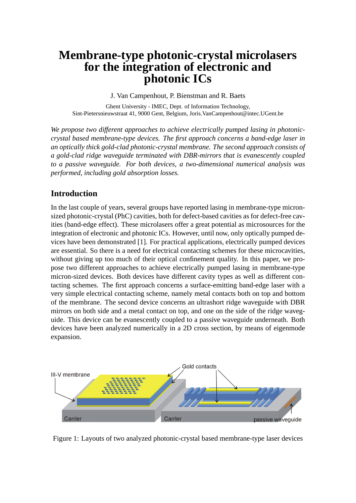# **Membrane-type photonic-crystal microlasers for the integration of electronic and photonic ICs**

J. Van Campenhout, P. Bienstman and R. Baets

Ghent University - IMEC, Dept. of Information Technology, Sint-Pietersnieuwstraat 41, 9000 Gent, Belgium, Joris.VanCampenhout@intec.UGent.be

*We propose two different approaches to achieve electrically pumped lasing in photoniccrystal based membrane-type devices. The first approach concerns a band-edge laser in an optically thick gold-clad photonic-crystal membrane. The second approach consists of a gold-clad ridge waveguide terminated with DBR-mirrors that is evanescently coupled to a passive waveguide. For both devices, a two-dimensional numerical analysis was performed, including gold absorption losses.*

# **Introduction**

In the last couple of years, several groups have reported lasing in membrane-type micronsized photonic-crystal (PhC) cavities, both for defect-based cavities as for defect-free cavities (band-edge effect). These microlasers offer a great potential as microsources for the integration of electronic and photonic ICs. However, until now, only optically pumped devices have been demonstrated [1]. For practical applications, electrically pumped devices are essential. So there is a need for electrical contacting schemes for these microcavities, without giving up too much of their optical confinement quality. In this paper, we propose two different approaches to achieve electrically pumped lasing in membrane-type micron-sized devices. Both devices have different cavity types as well as different contacting schemes. The first approach concerns a surface-emitting band-edge laser with a very simple electrical contacting scheme, namely metal contacts both on top and bottom of the membrane. The second device concerns an ultrashort ridge waveguide with DBR mirrors on both side and a metal contact on top, and one on the side of the ridge waveguide. This device can be evanescently coupled to a passive waveguide underneath. Both devices have been analyzed numerically in a 2D cross section, by means of eigenmode expansion.



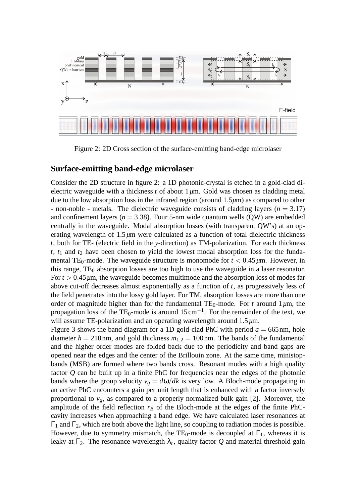

Figure 2: 2D Cross section of the surface-emitting band-edge microlaser

#### **Surface-emitting band-edge microlaser**

Consider the 2D structure in figure 2: a 1D photonic-crystal is etched in a gold-clad dielectric waveguide with a thickness  $t$  of about  $1 \mu$ m. Gold was chosen as cladding metal due to the low absorption loss in the infrared region (around 1.5*µ*m) as compared to other - non-noble - metals. The dielectric waveguide consists of cladding layers  $(n = 3.17)$ and confinement layers ( $n = 3.38$ ). Four 5-nm wide quantum wells (QW) are embedded centrally in the waveguide. Modal absorption losses (with transparent QW's) at an operating wavelength of 1.5*µ*m were calculated as a function of total dielectric thickness *t*, both for TE- (electric field in the *y*-direction) as TM-polarization. For each thickness  $t$ ,  $t_1$  and  $t_2$  have been chosen to yield the lowest modal absorption loss for the fundamental TE<sub>0</sub>-mode. The waveguide structure is monomode for  $t < 0.45 \mu m$ . However, in this range,  $TE_0$  absorption losses are too high to use the waveguide in a laser resonator. For  $t > 0.45 \mu$ m, the waveguide becomes multimode and the absorption loss of modes far above cut-off decreases almost exponentially as a function of *t*, as progressively less of the field penetrates into the lossy gold layer. For TM, absorption losses are more than one order of magnitude higher than for the fundamental  $TE_0$ -mode. For *t* around  $1 \mu m$ , the propagation loss of the TE<sub>0</sub>-mode is around  $15 \text{ cm}^{-1}$ . For the remainder of the text, we will assume TE-polarization and an operating wavelength around 1.5 $\mu$ m.

Figure 3 shows the band diagram for a 1D gold-clad PhC with period  $a = 665$  nm, hole diameter  $h = 210$  nm, and gold thickness  $m_{1,2} = 100$  nm. The bands of the fundamental and the higher order modes are folded back due to the periodicity and band gaps are opened near the edges and the center of the Brillouin zone. At the same time, ministopbands (MSB) are formed where two bands cross. Resonant modes with a high quality factor *Q* can be built up in a finite PhC for frequencies near the edges of the photonic bands where the group velocity  $v_g = d\omega/dk$  is very low. A Bloch-mode propagating in an active PhC encounters a gain per unit length that is enhanced with a factor inversely proportional to  $v<sub>g</sub>$ , as compared to a properly normalized bulk gain [2]. Moreover, the amplitude of the field reflection  $r_B$  of the Bloch-mode at the edges of the finite PhCcavity increases when approaching a band edge. We have calculated laser resonances at  $Γ_1$  and  $Γ_2$ , which are both above the light line, so coupling to radiation modes is possible. However, due to symmetry mismatch, the TE<sub>0</sub>-mode is decoupled at  $\Gamma_1$ , whereas it is leaky at  $\Gamma_2$ . The resonance wavelength  $\lambda_r$ , quality factor  $Q$  and material threshold gain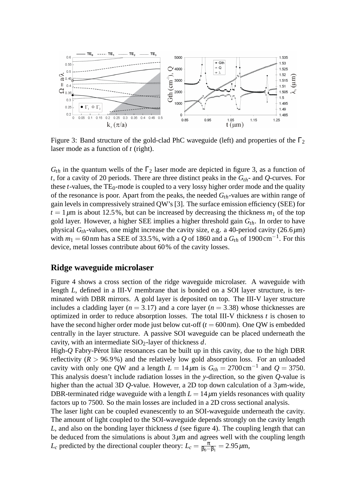

Figure 3: Band structure of the gold-clad PhC waveguide (left) and properties of the  $\Gamma_2$ laser mode as a function of *t* (right).

 $G_{th}$  in the quantum wells of the  $\Gamma_2$  laser mode are depicted in figure 3, as a function of *t*, for a cavity of 20 periods. There are three distinct peaks in the *Gth*- and *Q*-curves. For these  $t$ -values, the  $TE_0$ -mode is coupled to a very lossy higher order mode and the quality of the resonance is poor. Apart from the peaks, the needed *Gth*-values are within range of gain levels in compressively strained QW's [3]. The surface emission efficiency (SEE) for  $t = 1 \mu m$  is about 12.5%, but can be increased by decreasing the thickness  $m_1$  of the top gold layer. However, a higher SEE implies a higher threshold gain *Gth*. In order to have physical  $G_{th}$ -values, one might increase the cavity size, e.g. a 40-period cavity (26.6 $\mu$ m) with  $m_1 = 60$  nm has a SEE of 33.5%, with a Q of 1860 and a  $G_{th}$  of 1900 cm<sup>-1</sup>. For this device, metal losses contribute about 60% of the cavity losses.

#### **Ridge waveguide microlaser**

Figure 4 shows a cross section of the ridge waveguide microlaser. A waveguide with length *L*, defined in a III-V membrane that is bonded on a SOI layer structure, is terminated with DBR mirrors. A gold layer is deposited on top. The III-V layer structure includes a cladding layer ( $n = 3.17$ ) and a core layer ( $n = 3.38$ ) whose thicknesses are optimized in order to reduce absorption losses. The total III-V thickness *t* is chosen to have the second higher order mode just below cut-off  $(t = 600 \text{ nm})$ . One QW is embedded centrally in the layer structure. A passive SOI waveguide can be placed underneath the cavity, with an intermediate SiO2-layer of thickness *d*.

High- $Q$  Fabry-Pérot like resonances can be built up in this cavity, due to the high DBR reflectivity  $(R > 96.9\%)$  and the relatively low gold absorption loss. For an unloaded cavity with only one QW and a length  $L = 14 \mu m$  is  $G_{th} = 2700 \text{ cm}^{-1}$  and  $Q = 3750$ . This analysis doesn't include radiation losses in the *y*-direction, so the given *Q*-value is higher than the actual 3D *Q*-value. However, a 2D top down calculation of a 3µm-wide, DBR-terminated ridge waveguide with a length  $L = 14 \mu m$  yields resonances with quality factors up to 7500. So the main losses are included in a 2D cross sectional analysis.

The laser light can be coupled evanescently to an SOI-waveguide underneath the cavity. The amount of light coupled to the SOI-waveguide depends strongly on the cavity length *L*, and also on the bonding layer thickness *d* (see figure 4). The coupling length that can be deduced from the simulations is about  $3\mu$ m and agrees well with the coupling length *L*<sub>*c*</sub> predicted by the directional coupler theory:  $L_c = \frac{\pi}{\beta_0 - \epsilon}$  $\frac{\pi}{\beta_0 - \beta_1} = 2.95 \,\mu \text{m},$